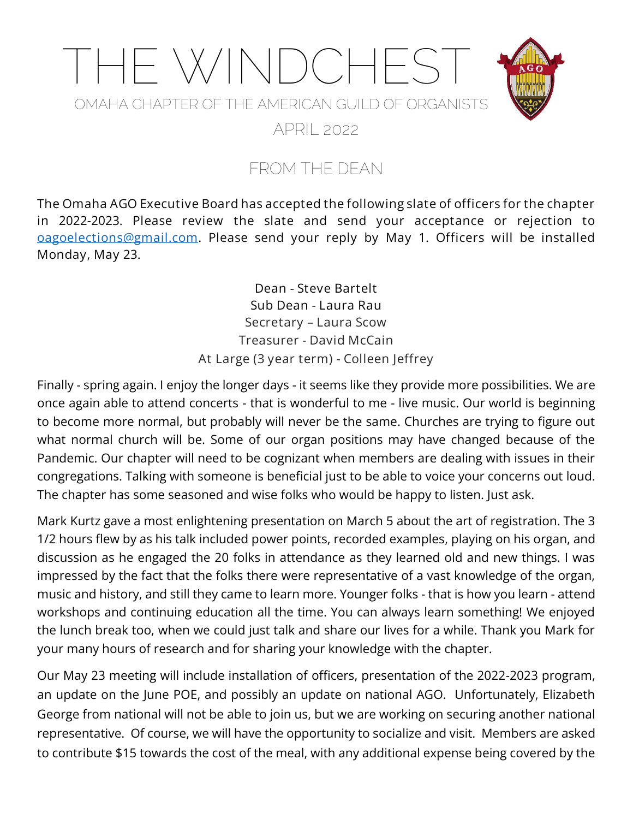

### FROM THE DEAN

**The Omaha AGO Executive Board has accepted the following slate of officers for the chapter in 2022-2023. Please review the slate and send your acceptance or rejection to [oagoelections@gmail.com.](mailto:oagoelections@gmail.com) Please send your reply by May 1. Officers will be installed Monday, May 23.**

> **Dean - Steve Bartelt Sub Dean - Laura Rau Secretary – Laura Scow Treasurer - David McCain At Large (3 year term) - Colleen Jeffrey**

Finally - spring again. I enjoy the longer days - it seems like they provide more possibilities. We are once again able to attend concerts - that is wonderful to me - live music. Our world is beginning to become more normal, but probably will never be the same. Churches are trying to figure out what normal church will be. Some of our organ positions may have changed because of the Pandemic. Our chapter will need to be cognizant when members are dealing with issues in their congregations. Talking with someone is beneficial just to be able to voice your concerns out loud. The chapter has some seasoned and wise folks who would be happy to listen. Just ask.

Mark Kurtz gave a most enlightening presentation on March 5 about the art of registration. The 3 1/2 hours flew by as his talk included power points, recorded examples, playing on his organ, and discussion as he engaged the 20 folks in attendance as they learned old and new things. I was impressed by the fact that the folks there were representative of a vast knowledge of the organ, music and history, and still they came to learn more. Younger folks - that is how you learn - attend workshops and continuing education all the time. You can always learn something! We enjoyed the lunch break too, when we could just talk and share our lives for a while. Thank you Mark for your many hours of research and for sharing your knowledge with the chapter.

Our May 23 meeting will include installation of officers, presentation of the 2022-2023 program, an update on the June POE, and possibly an update on national AGO. Unfortunately, Elizabeth George from national will not be able to join us, but we are working on securing another national representative. Of course, we will have the opportunity to socialize and visit. Members are asked to contribute \$15 towards the cost of the meal, with any additional expense being covered by the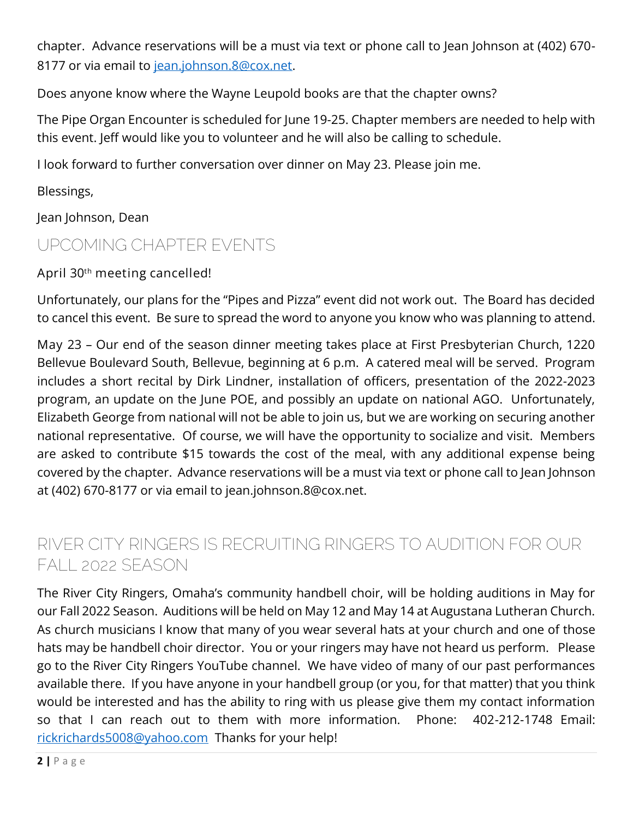chapter. Advance reservations will be a must via text or phone call to Jean Johnson at (402) 670- 8177 or via email to [jean.johnson.8@cox.net.](mailto:jean.johnson.8@cox.net)

Does anyone know where the Wayne Leupold books are that the chapter owns?

The Pipe Organ Encounter is scheduled for June 19-25. Chapter members are needed to help with this event. Jeff would like you to volunteer and he will also be calling to schedule.

I look forward to further conversation over dinner on May 23. Please join me.

Blessings,

Jean Johnson, Dean

### UPCOMING CHAPTER EVENTS

**April 30th meeting cancelled!**

Unfortunately, our plans for the "Pipes and Pizza" event did not work out. The Board has decided to cancel this event. Be sure to spread the word to anyone you know who was planning to attend.

**May 23** – Our end of the season dinner meeting takes place at First Presbyterian Church, 1220 Bellevue Boulevard South, Bellevue, beginning at 6 p.m. A catered meal will be served. Program includes a short recital by Dirk Lindner, installation of officers, presentation of the 2022-2023 program, an update on the June POE, and possibly an update on national AGO. Unfortunately, Elizabeth George from national will not be able to join us, but we are working on securing another national representative. Of course, we will have the opportunity to socialize and visit. Members are asked to contribute \$15 towards the cost of the meal, with any additional expense being covered by the chapter. Advance reservations will be a must via text or phone call to Jean Johnson at (402) 670-8177 or via email to jean.johnson.8@cox.net.

# RIVER CITY RINGERS IS RECRUITING RINGERS TO AUDITION FOR OUR FALL 2022 SEASON

The River City Ringers, Omaha's community handbell choir, will be holding auditions in May for our Fall 2022 Season. Auditions will be held on May 12 and May 14 at Augustana Lutheran Church. As church musicians I know that many of you wear several hats at your church and one of those hats may be handbell choir director. You or your ringers may have not heard us perform. Please go to the River City Ringers YouTube channel. We have video of many of our past performances available there. If you have anyone in your handbell group (or you, for that matter) that you think would be interested and has the ability to ring with us please give them my contact information so that I can reach out to them with more information. Phone: 402-212-1748 Email: [rickrichards5008@yahoo.com](mailto:rickrichards5008@yahoo.com) Thanks for your help!